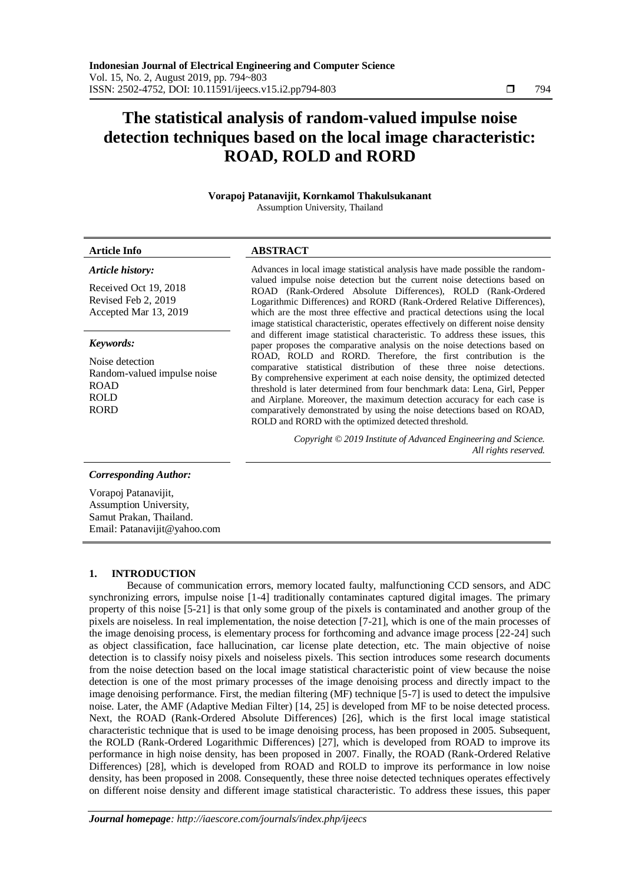# **The statistical analysis of random-valued impulse noise detection techniques based on the local image characteristic: ROAD, ROLD and RORD**

#### **Vorapoj Patanavijit, Kornkamol Thakulsukanant** Assumption University, Thailand

## *Article history:*

Received Oct 19, 2018 Revised Feb 2, 2019 Accepted Mar 13, 2019

#### *Keywords:*

Noise detection Random-valued impulse noise ROAD ROLD RORD

#### **Article Info ABSTRACT**

Advances in local image statistical analysis have made possible the randomvalued impulse noise detection but the current noise detections based on ROAD (Rank-Ordered Absolute Differences), ROLD (Rank-Ordered Logarithmic Differences) and RORD (Rank-Ordered Relative Differences), which are the most three effective and practical detections using the local image statistical characteristic, operates effectively on different noise density and different image statistical characteristic. To address these issues, this paper proposes the comparative analysis on the noise detections based on ROAD, ROLD and RORD. Therefore, the first contribution is the comparative statistical distribution of these three noise detections. By comprehensive experiment at each noise density, the optimized detected threshold is later determined from four benchmark data: Lena, Girl, Pepper and Airplane. Moreover, the maximum detection accuracy for each case is comparatively demonstrated by using the noise detections based on ROAD, ROLD and RORD with the optimized detected threshold.

> *Copyright © 2019 Institute of Advanced Engineering and Science. All rights reserved.*

#### *Corresponding Author:*

Vorapoj Patanavijit, Assumption University, [Samut Prakan,](https://en.wikipedia.org/wiki/Samut_Prakan_Province) Thailand. Email: Patanavijit@yahoo.com

#### **1. INTRODUCTION**

Because of communication errors, memory located faulty, malfunctioning CCD sensors, and ADC synchronizing errors, impulse noise [1-4] traditionally contaminates captured digital images. The primary property of this noise [5-21] is that only some group of the pixels is contaminated and another group of the pixels are noiseless. In real implementation, the noise detection [7-21], which is one of the main processes of the image denoising process, is elementary process for forthcoming and advance image process [22-24] such as object classification, face hallucination, car license plate detection, etc. The main objective of noise detection is to classify noisy pixels and noiseless pixels. This section introduces some research documents from the noise detection based on the local image statistical characteristic point of view because the noise detection is one of the most primary processes of the image denoising process and directly impact to the image denoising performance. First, the median filtering (MF) technique [5-7] is used to detect the impulsive noise. Later, the AMF (Adaptive Median Filter) [14, 25] is developed from MF to be noise detected process. Next, the ROAD (Rank-Ordered Absolute Differences) [26], which is the first local image statistical characteristic technique that is used to be image denoising process, has been proposed in 2005. Subsequent, the ROLD (Rank-Ordered Logarithmic Differences) [27], which is developed from ROAD to improve its performance in high noise density, has been proposed in 2007. Finally, the ROAD (Rank-Ordered Relative Differences) [28], which is developed from ROAD and ROLD to improve its performance in low noise density, has been proposed in 2008. Consequently, these three noise detected techniques operates effectively on different noise density and different image statistical characteristic. To address these issues, this paper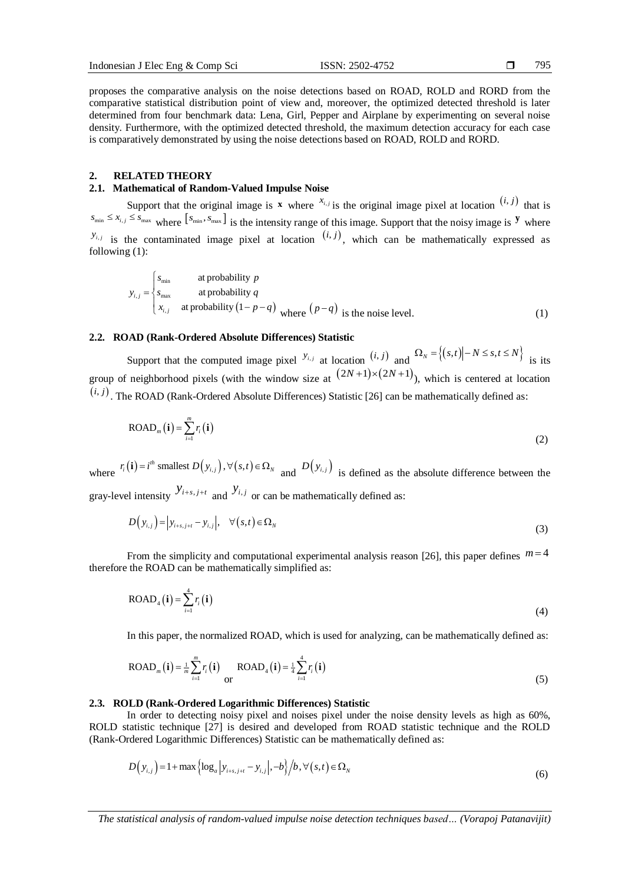795

proposes the comparative analysis on the noise detections based on ROAD, ROLD and RORD from the comparative statistical distribution point of view and, moreover, the optimized detected threshold is later determined from four benchmark data: Lena, Girl, Pepper and Airplane by experimenting on several noise density. Furthermore, with the optimized detected threshold, the maximum detection accuracy for each case is comparatively demonstrated by using the noise detections based on ROAD, ROLD and RORD.

#### **2. RELATED THEORY**

#### **2.1. Mathematical of Random-Valued Impulse Noise**

Support that the original image is **x** where  $x_{i,j}$  is the original image pixel at location  $(i, j)$  that is  $s_{\min} \leq x_{i,j} \leq s_{\max}$  where  $[s_{\min}, s_{\max}]$  is the intensity range of this image. Support that the noisy image is **y** where  $y_{i,j}$  is the contaminated image pixel at location  $(i,j)$ , which can be mathematically expressed as following (1):

$$
y_{i,j} = \begin{cases} s_{\min} & \text{at probability } p \\ s_{\max} & \text{at probability } q \\ x_{i,j} & \text{at probability } (1 - p - q) \\ \end{cases}
$$
 where  $(p - q)$  is the noise level. (1)

#### **2.2. ROAD (Rank-Ordered Absolute Differences) Statistic**

Support that the computed image pixel  $y_{i,j}$  at location  $(i, j)$  and  $\Omega_N = \{(s,t) | -N \le s, t \le N\}$  is its group of neighborhood pixels (with the window size at  $(2N+1)\times(2N+1)$ ), which is centered at location  $(i, j)$ . The ROAD (Rank-Ordered Absolute Differences) Statistic [26] can be mathematically defined as:

$$
\text{ROAD}_m(\mathbf{i}) = \sum_{i=1}^m r_i(\mathbf{i})
$$
 (2)

where  $r_i(\mathbf{i}) = i^{th}$  smallest  $D(y_{i,j}), \forall (s,t)$ *th*  $r_i(\mathbf{i}) = i^{th}$  smallest  $D(y_{i,j})$ ,  $\forall (s,t) \in \Omega_N$  and  $D(y_{i,j})$  is defined as the absolute difference between the gray-level intensity  $y_{i+s,j+t}$  and  $y_{i,j}$  or can be mathematically defined as:

$$
D(y_{i,j}) = |y_{i+s,j+t} - y_{i,j}|, \quad \forall (s,t) \in \Omega_N
$$
\n(3)

From the simplicity and computational experimental analysis reason [26], this paper defines  $m=4$ therefore the ROAD can be mathematically simplified as:

$$
ROAD_4(i) = \sum_{i=1}^{4} r_i(i)
$$
\n(4)

In this paper, the normalized ROAD, which is used for analyzing, can be mathematically defined as:

$$
\text{ROAD}_{m}(\mathbf{i}) = \frac{1}{m} \sum_{i=1}^{m} r_{i}(\mathbf{i}) \prod_{\text{or}} \text{ROAD}_{4}(\mathbf{i}) = \frac{1}{4} \sum_{i=1}^{4} r_{i}(\mathbf{i}) \tag{5}
$$

#### **2.3. ROLD (Rank-Ordered Logarithmic Differences) Statistic**

In order to detecting noisy pixel and noises pixel under the noise density levels as high as 60%, ROLD statistic technique [27] is desired and developed from ROAD statistic technique and the ROLD

(Rank-Ordered Logarithmic Differences) Statistic can be mathematically defined as:  
\n
$$
D(y_{i,j}) = 1 + \max\left\{\log_a|y_{i+s,j+t} - y_{i,j}|, -b\right\}/b, \forall (s,t) \in \Omega_N
$$
\n(6)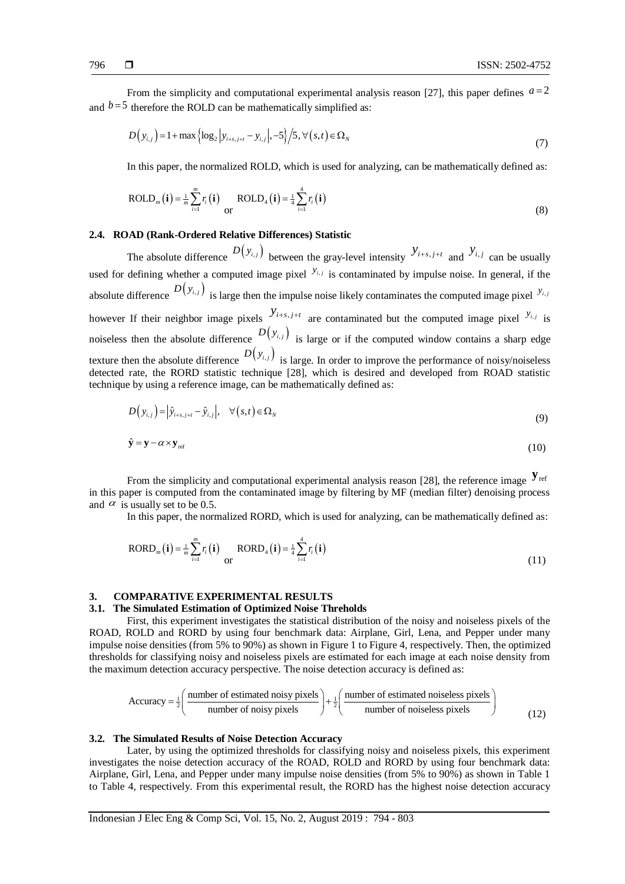From the simplicity and computational experimental analysis reason [27], this paper defines  $a=2$ 

and 
$$
b=5
$$
 therefore the ROLD can be mathematically simplified as:  
\n
$$
D(y_{i,j}) = 1 + \max\left\{ \log_2 |y_{i+s,j+t} - y_{i,j}|, -5 \right\} / 5, \forall (s,t) \in \Omega_N
$$
\n(7)

In this paper, the normalized ROLD, which is used for analyzing, can be mathematically defined as:

$$
ROLD_m(\mathbf{i}) = \frac{1}{m} \sum_{i=1}^{m} r_i(\mathbf{i}) \frac{ROLD_4(\mathbf{i}) = \frac{1}{4} \sum_{i=1}^{4} r_i(\mathbf{i})
$$
\n(8)

### **2.4. ROAD (Rank-Ordered Relative Differences) Statistic**

The absolute difference  $D(y_{i,j})$  between the gray-level intensity  $y_{i+s,j+t}$  and  $y_{i,j}$  can be usually used for defining whether a computed image pixel  $y_{i,j}$  is contaminated by impulse noise. In general, if the absolute difference  $D(y_{i,j})$  is large then the impulse noise likely contaminates the computed image pixel  $y_{i,j}$ however If their neighbor image pixels  $y_{i+s,j+t}$  are contaminated but the computed image pixel  $y_{i,j}$  is noiseless then the absolute difference  $D(y_{i,j})$  is large or if the computed window contains a sharp edge texture then the absolute difference  $D(y_{i,j})$  is large. In order to improve the performance of noisy/noiseless detected rate, the RORD statistic technique [28], which is desired and developed from ROAD statistic technique by using a reference image, can be mathematically defined as:

$$
D(y_{i,j}) = |\hat{y}_{i+s,j+t} - \hat{y}_{i,j}|, \quad \forall (s,t) \in \Omega_N
$$
\n(9)

$$
\hat{\mathbf{y}} = \mathbf{y} - \alpha \times \mathbf{y}_{\text{ref}} \tag{10}
$$

From the simplicity and computational experimental analysis reason [28], the reference image  $\mathbf{y}_{\text{ref}}$ in this paper is computed from the contaminated image by filtering by MF (median filter) denoising process and  $\alpha$  is usually set to be 0.5.

In this paper, the normalized RORD, which is used for analyzing, can be mathematically defined as:

$$
RORD_m(\mathbf{i}) = \frac{1}{m} \sum_{i=1}^{m} r_i(\mathbf{i}) \frac{RORD_4(\mathbf{i})}{\text{or}} = \frac{1}{4} \sum_{i=1}^{4} r_i(\mathbf{i})
$$
(11)

### **3. COMPARATIVE EXPERIMENTAL RESULTS**

#### **3.1. The Simulated Estimation of Optimized Noise Threholds**

First, this experiment investigates the statistical distribution of the noisy and noiseless pixels of the ROAD, ROLD and RORD by using four benchmark data: Airplane, Girl, Lena, and Pepper under many impulse noise densities (from 5% to 90%) as shown in Figure 1 to Figure 4, respectively. Then, the optimized thresholds for classifying noisy and noiseless pixels are estimated for each image at each noise density from<br>the maximum detection accuracy perspective. The noise detection accuracy is defined as:<br>Accuracy =  $\frac{1}{2} \left( \$ 

the maximum detection accuracy perspective. The noise detection accuracy is defined as:  
\n
$$
Accuracy = \frac{1}{2} \left( \frac{\text{number of estimated noisy pixels}}{\text{number of noisy pixels}} \right) + \frac{1}{2} \left( \frac{\text{number of estimated noiseless pixels}}{\text{number of noiseless pixels}} \right)
$$
\n(12)

#### **3.2. The Simulated Results of Noise Detection Accuracy**

Later, by using the optimized thresholds for classifying noisy and noiseless pixels, this experiment investigates the noise detection accuracy of the ROAD, ROLD and RORD by using four benchmark data: Airplane, Girl, Lena, and Pepper under many impulse noise densities (from 5% to 90%) as shown in Table 1 to Table 4, respectively. From this experimental result, the RORD has the highest noise detection accuracy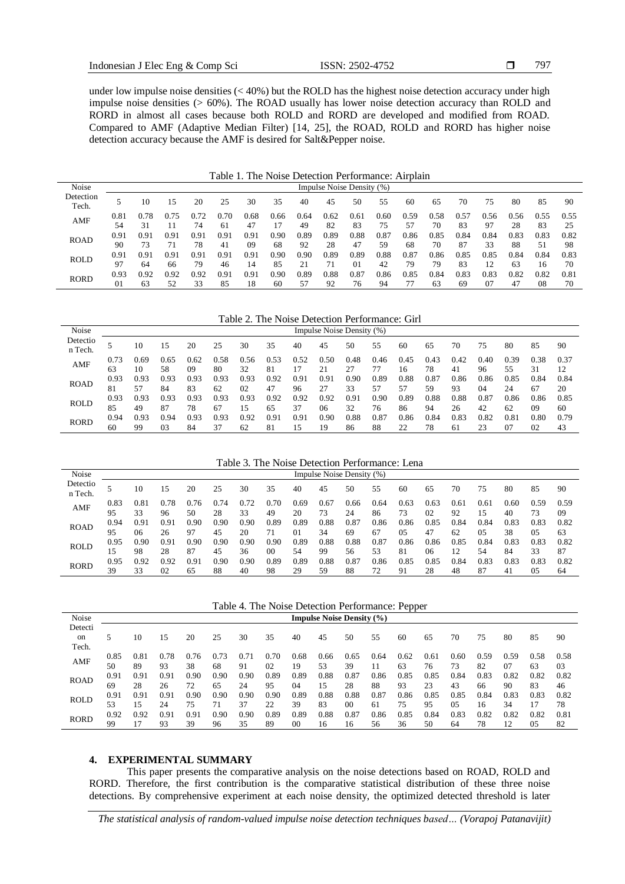797

under low impulse noise densities (< 40%) but the ROLD has the highest noise detection accuracy under high impulse noise densities (> 60%). The ROAD usually has lower noise detection accuracy than ROLD and RORD in almost all cases because both ROLD and RORD are developed and modified from ROAD. Compared to AMF (Adaptive Median Filter) [14, 25], the ROAD, ROLD and RORD has higher noise detection accuracy because the AMF is desired for Salt&Pepper noise.

| Table 1. The Noise Detection Performance: Airplain |  |  |  |
|----------------------------------------------------|--|--|--|
|----------------------------------------------------|--|--|--|

| Noise              |            | Impulse Noise Density (%) |      |      |            |            |      |            |            |            |            |            |            |            |                         |            |            |            |
|--------------------|------------|---------------------------|------|------|------------|------------|------|------------|------------|------------|------------|------------|------------|------------|-------------------------|------------|------------|------------|
| Detection<br>Tech. |            | 10                        | 15   | 20   | 25         | 30         | 35   | 40         | 45         | 50         | 55         | 60         | 65         | 70         | 75                      | 80         | 85         | 90         |
| AMF                | 0.81<br>54 | 0.78<br>31                | 0.75 | 74   | 0.70<br>61 | 0.68<br>47 | 0.66 | 0.64<br>49 | 0.62<br>82 | 0.61<br>83 | 0.60<br>75 | 0.59<br>57 | 0.58<br>70 | 0.57<br>83 | 0.56<br>97              | 0.56<br>28 | 0.55<br>83 | 0.55<br>25 |
|                    | 0.91       | 0.91                      | 0.91 | 0.91 | 0.91       | 0.91       | 0.90 | 0.89       | 0.89       | $_{0.88}$  | 0.87       | 0.86       | 0.85       | 0.84       | 0.84                    | 0.83       | 0.83       | 0.82       |
| <b>ROAD</b>        | 90         | 73                        |      | 78   | 41         | 09         | 68   | 92         | 28         | 47         | 59         | 68         | 70         | 87         | 33                      | 88         | 51         | 98         |
|                    | 0.91       | 0.91                      | 0.91 | 0.91 | 0.91       | 0.91       | 0.90 | 0.90       | 0.89       | 0.89       | 0.88       | 0.87       | 0.86       | 0.85       | 0.85                    | 0.84       | 0.84       | 0.83       |
| <b>ROLD</b>        | 97         | 64                        | 66   | 79   | 46         | 14         | 85   | 21         | 71         | $_{01}$    | 42         | 79         | 79         | 83         | $\mathbf{1} \mathbf{1}$ | 63         | 16         | 70         |
| <b>RORD</b>        | 0.93       | 0.92                      | 0.92 | 0.92 | 0.91       | 0.91       | 0.90 | 0.89       | 0.88       | 0.87       | 0.86       | 0.85       | 0.84       | 0.83       | 0.83                    | 0.82       | 0.82       | 0.81       |
|                    | 01         | 63                        | 52   | 33   | 85         | 18         | 60   |            | 92         | 76         | 94         |            | 63         | 69         | 0 <sup>7</sup>          | 47         | 08         | 70         |

Table 2. The Noise Detection Performance: Girl

| Noise               | Impulse Noise Density (%) |            |            |            |            |            |            |            |            |            |            |            |            |            |            |            |            |            |
|---------------------|---------------------------|------------|------------|------------|------------|------------|------------|------------|------------|------------|------------|------------|------------|------------|------------|------------|------------|------------|
| Detectio<br>n Tech. |                           | 10         | 15         | 20         | 25         | 30         | 35         | 40         | 45         | 50         | 55         | 60         | 65         | 70         | 75         | 80         | 85         | 90         |
| AMF                 | 0.73<br>63                | 0.69<br>10 | 0.65<br>58 | 0.62<br>09 | 0.58<br>80 | 0.56<br>32 | 0.53<br>81 | 0.52       | 0.50       | 0.48       | 0.46       | 0.45<br>16 | 0.43<br>78 | 0.42<br>41 | 0.40<br>96 | 0.39<br>55 | 0.38<br>31 | 0.37<br>12 |
| <b>ROAD</b>         | 0.93                      | 0.93       | 0.93       | 0.93       | 0.93       | 0.93       | 0.92       | 0.91       | 0.91       | 0.90       | 0.89       | 0.88       | 0.87       | 0.86       | 0.86       | 0.85       | 0.84       | 0.84       |
|                     | 81<br>0.93                | 57<br>0.93 | 84<br>0.93 | 83<br>0.93 | 62<br>0.93 | 02<br>0.93 | 47<br>0.92 | 96<br>0.92 | 27<br>0.92 | 33<br>0.91 | 57<br>0.90 | 57<br>0.89 | 59<br>0.88 | 93<br>0.88 | 04<br>0.87 | 24<br>0.86 | 67<br>0.86 | 20<br>0.85 |
| <b>ROLD</b>         | 85                        | 49         | 87         | 78         | 67         | 15         | 65         | 37         | 06         | 32         | 76         | 86         | 94         | 26         | 42         | 62         | 09         | 60         |
| <b>RORD</b>         | 0.94                      | 0.93       | 0.94       | 0.93       | 0.93       | 0.92       | 0.91       | 0.91       | 0.90       | 0.88       | 0.87       | 0.86       | 0.84       | 0.83       | 0.82       | 0.81       | 0.80       | 0.79       |
|                     | 60                        | 99         | 03         | 84         | 37         | 62         | 81         | 15         | 19         | 86         | 88         | 22         | 78         | 61         |            | 07         | 02         | 43         |

Table 3. The Noise Detection Performance: Lena

| Noise               |            |            |            |            |            |            |      |            | Impulse Noise Density (%) |            |            |            |            |            |            |                |            |            |  |
|---------------------|------------|------------|------------|------------|------------|------------|------|------------|---------------------------|------------|------------|------------|------------|------------|------------|----------------|------------|------------|--|
| Detectio<br>n Tech. |            | 10         | 15         | 20         | 25         | 30         | 35   | 40         | 45                        | 50         | 55         | 60         | 65         | 70         | 75         | 80             | 85         | 90         |  |
| AMF                 | 0.83       | 0.81       | 0.78       | 76         | 0.74       | 0.72       | 0.70 | 0.69       | 0.67                      | 0.66       | 0.64       | 0.63       | 0.63       | 0.61       | 0.61       | 0.60           | 0.59       | 0.59       |  |
|                     | 95         | 33         | 96         | 50         | 28         | 33         | 49   | 20         | 73                        | 24         | 86         | 73         | 02         | 92         | 15         | 40             | 73         | 09         |  |
| <b>ROAD</b>         | 0.94<br>95 | 0.91<br>06 | 0.91<br>26 | 0.90<br>97 | 0.90<br>45 | 0.90<br>20 | 0.89 | 0.89<br>01 | 0.88<br>34                | 0.87<br>69 | 0.86<br>67 | 0.86<br>05 | 0.85<br>47 | 0.84<br>62 | 0.84<br>05 | 0.83<br>38     | 0.83<br>05 | 0.82<br>63 |  |
| <b>ROLD</b>         | 0.95       | 0.90       | 0.91       | 0.90       | $_{0.90}$  | 0.90       | 0.90 | 0.89       | 0.88                      | 0.88       | 0.87       | 0.86       | 0.86       | 0.85       | 0.84       | 0.83           | 0.83       | 0.82       |  |
|                     | 15         | 98         | 28         | 87         | 45         | 36         | 00   | 54         | 99                        | 56         | 53         | 81         | 06         | 12         | 54         | 84             | 33         | 87         |  |
| <b>RORD</b>         | 0.95       | 0.92       | 0.92       | 0.91       | 0.90       | 0.90       | 0.89 | 0.89       | 0.88                      | 0.87       | 0.86       | 0.85       | 0.85       | 0.84       | 0.83       | 0.83           | 0.83       | 0.82       |  |
|                     | 39         | 33         | 02         | 65         | 88         | 40         | 98   | 29         | 59                        | 88         | 72         | 91         | 28         | 48         | 87         | 4 <sub>1</sub> | 05         | 64         |  |

Table 4. The Noise Detection Performance: Pepper

| Noise       | <b>Impulse Noise Density (%)</b> |      |      |      |      |               |      |      |      |           |           |      |      |      |      |      |      |      |
|-------------|----------------------------------|------|------|------|------|---------------|------|------|------|-----------|-----------|------|------|------|------|------|------|------|
| Detecti     |                                  |      |      |      |      |               |      |      |      |           |           |      |      |      |      |      |      |      |
| on          | ć                                | 10   | l 5  | 20   | 25   | 30            | 35   | 40   | 45   | 50        | 55        | 60   | 65   | 70   | 75   | 80   | 85   | 90   |
| Tech.       |                                  |      |      |      |      |               |      |      |      |           |           |      |      |      |      |      |      |      |
|             | 0.85                             | 0.81 | 0.78 | 0.76 | 73   | $0.7^{\circ}$ | 0.70 | 0.68 | 0.66 | 0.65      | 0.64      | 0.62 | 0.61 | 0.60 | 0.59 | 0.59 | 0.58 | 0.58 |
| AMF         | 50                               | 89   | 93   | 38   | 68   | 91            | 02   | 19   | 53   | 39        |           | 63   | 76   | 73   | 82   | 07   | 63   | 03   |
| <b>ROAD</b> | 0.91                             | 0.91 | 0.91 | 0.90 | 0.90 | 0.90          | 0.89 | 0.89 | 0.88 | 0.87      | 0.86      | 0.85 | 0.85 | 0.84 | 0.83 | 0.82 | 0.82 | 0.82 |
|             | 69                               | 28   | 26   | 72   | 65   | 24            | 95   | 04   | 15   | 28        | 88        | 93   | 23   | 43   | 66   | 90   | 83   | 46   |
|             | 0.91                             | 0.91 | 0.91 | 0.90 | 0.90 | 0.90          | 0.90 | 0.89 | 0.88 | $_{0.88}$ | $_{0.87}$ | 0.86 | 0.85 | 0.85 | 0.84 | 0.83 | 0.83 | 0.82 |
| ROLD        | 53                               | 15   | 24   | 75   |      | 37            | 22   | 39   | 83   | 00        | 61        | 75   | 95   | 05   | 16   | 34   |      | 78   |
| <b>RORD</b> | 0.92                             | 0.92 | 0.91 | 0.91 | 0.90 | 0.90          | 0.89 | 0.89 | 0.88 | $_{0.87}$ | 0.86      | 0.85 | 0.84 | 0.83 | 0.82 | 0.82 | 0.82 | 0.81 |
|             | 99                               | 17   | 93   | 39   | 96   | 35            | 89   | 00   | 16   | 16        | 56        | 36   | 50   | -64  | 78   | 12   | 05   | 82   |

#### **4. EXPERIMENTAL SUMMARY**

This paper presents the comparative analysis on the noise detections based on ROAD, ROLD and RORD. Therefore, the first contribution is the comparative statistical distribution of these three noise detections. By comprehensive experiment at each noise density, the optimized detected threshold is later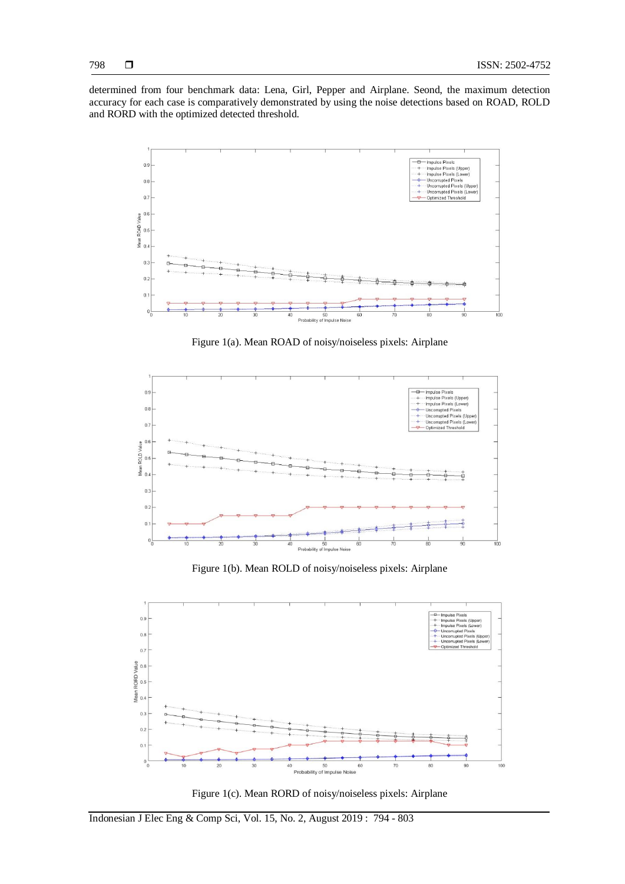determined from four benchmark data: Lena, Girl, Pepper and Airplane. Seond, the maximum detection accuracy for each case is comparatively demonstrated by using the noise detections based on ROAD, ROLD and RORD with the optimized detected threshold.



Figure 1(a). Mean ROAD of noisy/noiseless pixels: Airplane



Figure 1(b). Mean ROLD of noisy/noiseless pixels: Airplane



Figure 1(c). Mean RORD of noisy/noiseless pixels: Airplane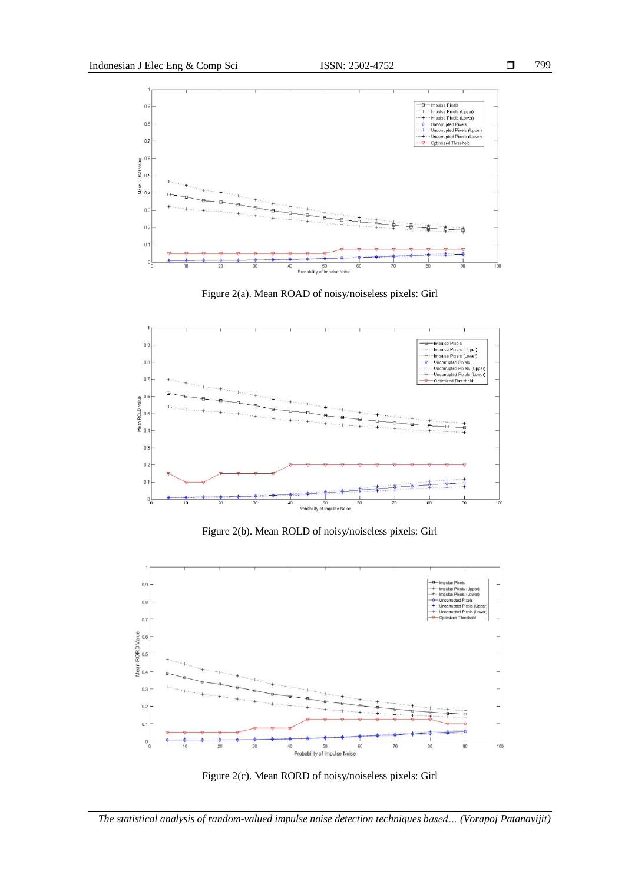

Figure 2(a). Mean ROAD of noisy/noiseless pixels: Girl



Figure 2(b). Mean ROLD of noisy/noiseless pixels: Girl



Figure 2(c). Mean RORD of noisy/noiseless pixels: Girl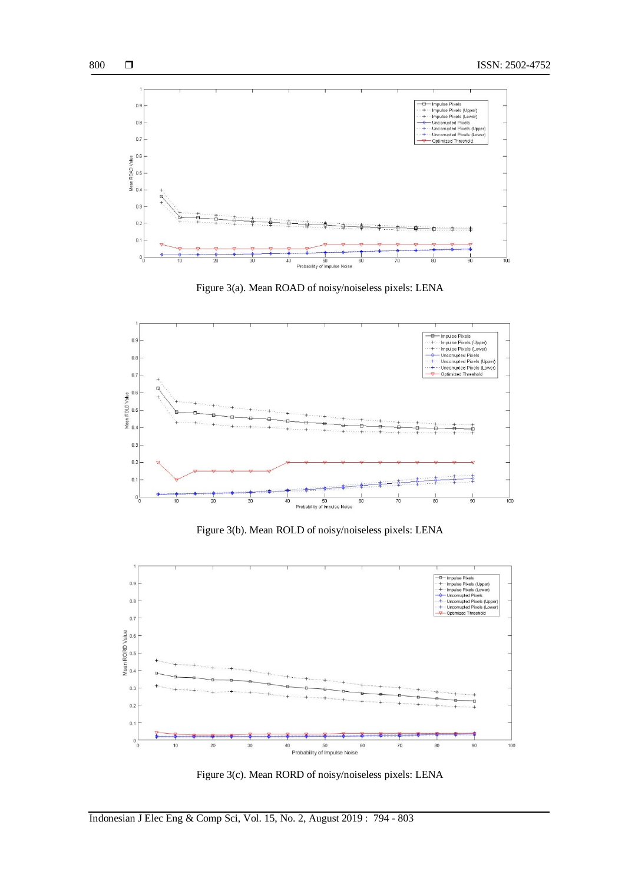

Figure 3(a). Mean ROAD of noisy/noiseless pixels: LENA



Figure 3(b). Mean ROLD of noisy/noiseless pixels: LENA



Figure 3(c). Mean RORD of noisy/noiseless pixels: LENA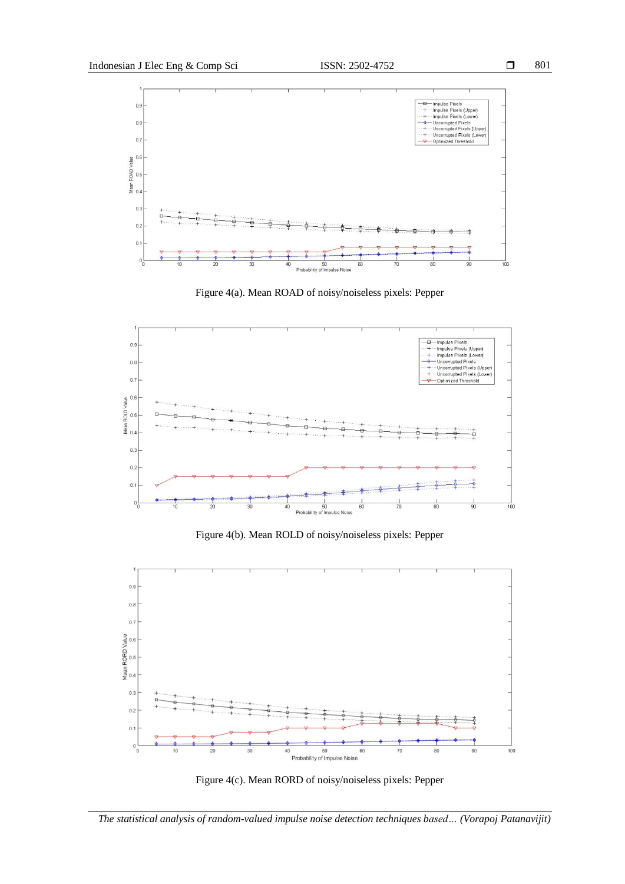

Figure 4(a). Mean ROAD of noisy/noiseless pixels: Pepper



Figure 4(b). Mean ROLD of noisy/noiseless pixels: Pepper

![](_page_7_Figure_6.jpeg)

![](_page_7_Figure_7.jpeg)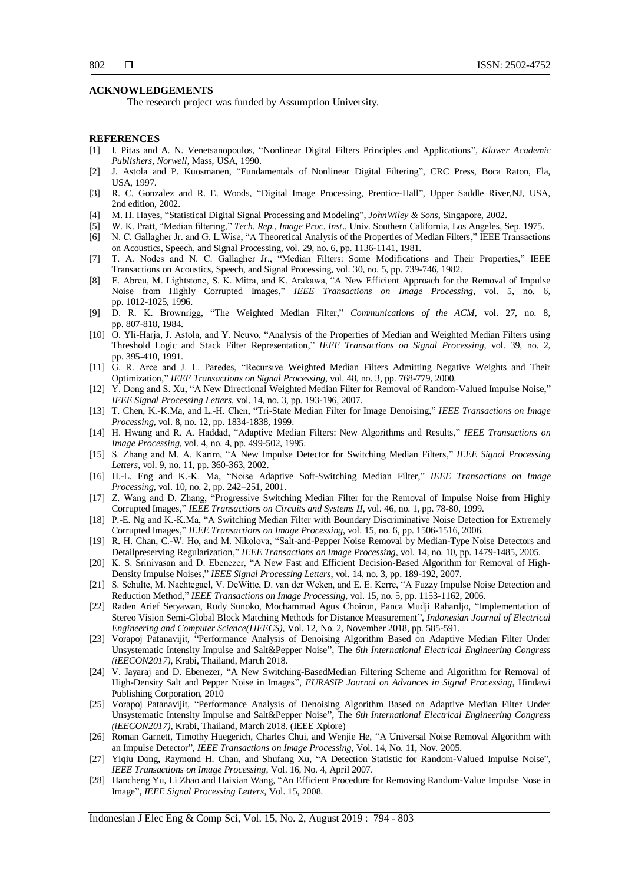#### **ACKNOWLEDGEMENTS**

The research project was funded by Assumption University.

#### **REFERENCES**

- [1] I. Pitas and A. N. Venetsanopoulos, "Nonlinear Digital Filters Principles and Applications", *Kluwer Academic Publishers, Norwell*, Mass, USA, 1990.
- [2] J. Astola and P. Kuosmanen, "Fundamentals of Nonlinear Digital Filtering", CRC Press, Boca Raton, Fla, USA, 1997.
- [3] R. C. Gonzalez and R. E. Woods, "Digital Image Processing, Prentice-Hall", Upper Saddle River,NJ, USA, 2nd edition, 2002.
- [4] M. H. Hayes, "Statistical Digital Signal Processing and Modeling", *JohnWiley & Sons*, Singapore, 2002.
- [5] W. K. Pratt, "Median filtering," *Tech. Rep., Image Proc. Inst*., Univ. Southern California, Los Angeles, Sep. 1975.
- [6] N. C. Gallagher Jr. and G. L.Wise, "A Theoretical Analysis of the Properties of Median Filters," IEEE Transactions on Acoustics, Speech, and Signal Processing, vol. 29, no. 6, pp. 1136-1141, 1981.
- [7] T. A. Nodes and N. C. Gallagher Jr., "Median Filters: Some Modifications and Their Properties," IEEE Transactions on Acoustics, Speech, and Signal Processing, vol. 30, no. 5, pp. 739-746, 1982.
- [8] E. Abreu, M. Lightstone, S. K. Mitra, and K. Arakawa, "A New Efficient Approach for the Removal of Impulse Noise from Highly Corrupted Images," *IEEE Transactions on Image Processing*, vol. 5, no. 6, pp. 1012-1025, 1996.
- [9] D. R. K. Brownrigg, "The Weighted Median Filter," *Communications of the ACM*, vol. 27, no. 8, pp. 807-818, 1984.
- [10] O. Yli-Harja, J. Astola, and Y. Neuvo, "Analysis of the Properties of Median and Weighted Median Filters using Threshold Logic and Stack Filter Representation," *IEEE Transactions on Signal Processing*, vol. 39, no. 2, pp. 395-410, 1991.
- [11] G. R. Arce and J. L. Paredes, "Recursive Weighted Median Filters Admitting Negative Weights and Their Optimization," *IEEE Transactions on Signal Processing*, vol. 48, no. 3, pp. 768-779, 2000.
- [12] Y. Dong and S. Xu, "A New Directional Weighted Median Filter for Removal of Random-Valued Impulse Noise," *IEEE Signal Processing Letters*, vol. 14, no. 3, pp. 193-196, 2007.
- [13] T. Chen, K.-K.Ma, and L.-H. Chen, "Tri-State Median Filter for Image Denoising," *IEEE Transactions on Image Processing*, vol. 8, no. 12, pp. 1834-1838, 1999.
- [14] H. Hwang and R. A. Haddad, "Adaptive Median Filters: New Algorithms and Results," *IEEE Transactions on Image Processing*, vol. 4, no. 4, pp. 499-502, 1995.
- [15] S. Zhang and M. A. Karim, "A New Impulse Detector for Switching Median Filters," *IEEE Signal Processing Letters*, vol. 9, no. 11, pp. 360-363, 2002.
- [16] H.-L. Eng and K.-K. Ma, "Noise Adaptive Soft-Switching Median Filter," *IEEE Transactions on Image Processing*, vol. 10, no. 2, pp. 242–251, 2001.
- [17] Z. Wang and D. Zhang, "Progressive Switching Median Filter for the Removal of Impulse Noise from Highly Corrupted Images," *IEEE Transactions on Circuits and Systems II*, vol. 46, no. 1, pp. 78-80, 1999.
- [18] P.-E. Ng and K.-K.Ma, "A Switching Median Filter with Boundary Discriminative Noise Detection for Extremely Corrupted Images," *IEEE Transactions on Image Processing*, vol. 15, no. 6, pp. 1506-1516, 2006.
- [19] R. H. Chan, C.-W. Ho, and M. Nikolova, "Salt-and-Pepper Noise Removal by Median-Type Noise Detectors and Detailpreserving Regularization," *IEEE Transactions on Image Processing*, vol. 14, no. 10, pp. 1479-1485, 2005.
- [20] K. S. Srinivasan and D. Ebenezer, "A New Fast and Efficient Decision-Based Algorithm for Removal of High-Density Impulse Noises," *IEEE Signal Processing Letters*, vol. 14, no. 3, pp. 189-192, 2007.
- [21] S. Schulte, M. Nachtegael, V. DeWitte, D. van der Weken, and E. E. Kerre, "A Fuzzy Impulse Noise Detection and Reduction Method," *IEEE Transactions on Image Processing*, vol. 15, no. 5, pp. 1153-1162, 2006.
- [22] Raden Arief Setyawan, Rudy Sunoko, Mochammad Agus Choiron, Panca Mudji Rahardjo, "Implementation of Stereo Vision Semi-Global Block Matching Methods for Distance Measurement", *Indonesian Journal of Electrical Engineering and Computer Science(IJEECS)*, Vol. 12, No. 2, November 2018, pp. 585-591.
- [23] Vorapoj Patanavijit, "Performance Analysis of Denoising Algorithm Based on Adaptive Median Filter Under Unsystematic Intensity Impulse and Salt&Pepper Noise", The *6th International Electrical Engineering Congress (iEECON2017)*, Krabi, Thailand, March 2018.
- [24] V. Jayaraj and D. Ebenezer, "A New Switching-BasedMedian Filtering Scheme and Algorithm for Removal of High-Density Salt and Pepper Noise in Images", *EURASIP Journal on Advances in Signal Processing*, Hindawi Publishing Corporation, 2010
- [25] Vorapoj Patanavijit, "Performance Analysis of Denoising Algorithm Based on Adaptive Median Filter Under Unsystematic Intensity Impulse and Salt&Pepper Noise", The *6th International Electrical Engineering Congress (iEECON2017)*, Krabi, Thailand, March 2018. (IEEE Xplore)
- [26] Roman Garnett, Timothy Huegerich, Charles Chui, and Wenjie He, "A Universal Noise Removal Algorithm with an Impulse Detector", *IEEE Transactions on Image Processing*, Vol. 14, No. 11, Nov. 2005.
- [27] Yiqiu Dong, Raymond H. Chan, and Shufang Xu, "A Detection Statistic for Random-Valued Impulse Noise", *IEEE Transactions on Image Processing*, Vol. 16, No. 4, April 2007.
- [28] Hancheng Yu, Li Zhao and Haixian Wang, "An Efficient Procedure for Removing Random-Value Impulse Nose in Image", *IEEE Signal Processing Letters*, Vol. 15, 2008.

Indonesian J Elec Eng & Comp Sci, Vol. 15, No. 2, August 2019 : 794 - 803